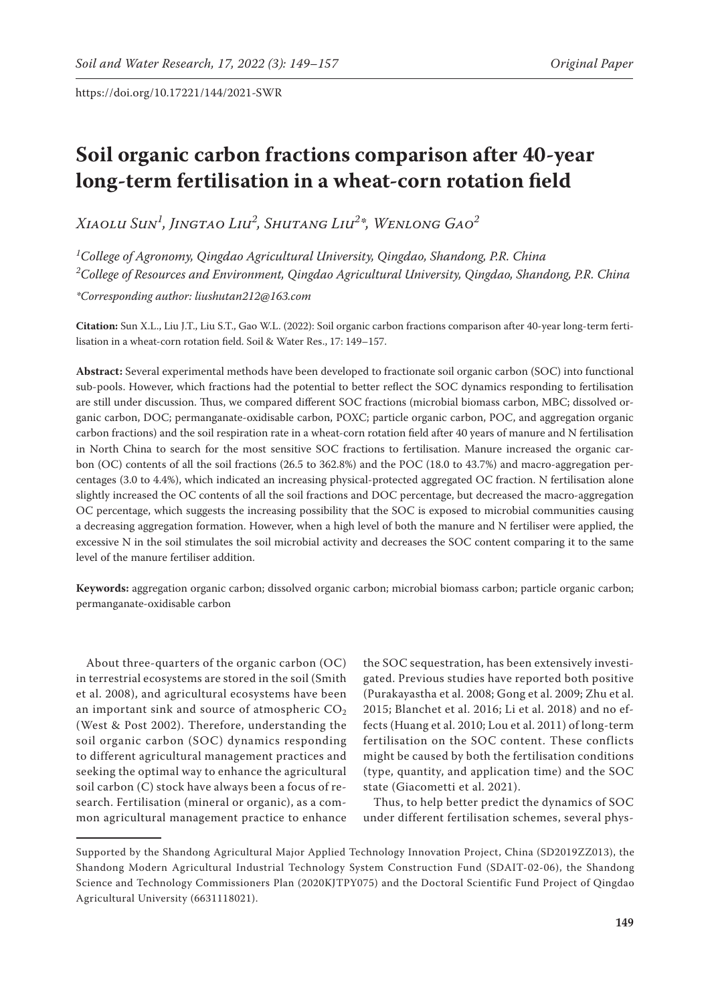# **Soil organic carbon fractions comparison after 40-year long-term fertilisation in a wheat-corn rotation field**

*Xiaolu Sun1 , Jingtao Liu2 , Shutang Liu2 \*, Wenlong Gao2*

*1 College of Agronomy, Qingdao Agricultural University, Qingdao, Shandong, P.R. China 2 College of Resources and Environment, Qingdao Agricultural University, Qingdao, Shandong, P.R. China \*Corresponding author: liushutan212@163.com*

**Citation:** Sun X.L., Liu J.T., Liu S.T., Gao W.L. (2022): Soil organic carbon fractions comparison after 40-year long-term fertilisation in a wheat-corn rotation field. Soil & Water Res., 17: 149–157.

**Abstract:** Several experimental methods have been developed to fractionate soil organic carbon (SOC) into functional sub-pools. However, which fractions had the potential to better reflect the SOC dynamics responding to fertilisation are still under discussion. Thus, we compared different SOC fractions (microbial biomass carbon, MBC; dissolved organic carbon, DOC; permanganate-oxidisable carbon, POXC; particle organic carbon, POC, and aggregation organic carbon fractions) and the soil respiration rate in a wheat-corn rotation field after 40 years of manure and N fertilisation in North China to search for the most sensitive SOC fractions to fertilisation. Manure increased the organic carbon (OC) contents of all the soil fractions (26.5 to 362.8%) and the POC (18.0 to 43.7%) and macro-aggregation percentages (3.0 to 4.4%), which indicated an increasing physical-protected aggregated OC fraction. N fertilisation alone slightly increased the OC contents of all the soil fractions and DOC percentage, but decreased the macro-aggregation OC percentage, which suggests the increasing possibility that the SOC is exposed to microbial communities causing a decreasing aggregation formation. However, when a high level of both the manure and N fertiliser were applied, the excessive N in the soil stimulates the soil microbial activity and decreases the SOC content comparing it to the same level of the manure fertiliser addition.

**Keywords:** aggregation organic carbon; dissolved organic carbon; microbial biomass carbon; particle organic carbon; permanganate-oxidisable carbon

About three-quarters of the organic carbon (OC) in terrestrial ecosystems are stored in the soil (Smith et al. 2008), and agricultural ecosystems have been an important sink and source of atmospheric  $CO<sub>2</sub>$ (West & Post 2002). Therefore, understanding the soil organic carbon (SOC) dynamics responding to different agricultural management practices and seeking the optimal way to enhance the agricultural soil carbon (C) stock have always been a focus of research. Fertilisation (mineral or organic), as a common agricultural management practice to enhance

the SOC sequestration, has been extensively investigated. Previous studies have reported both positive (Purakayastha et al. 2008; Gong et al. 2009; Zhu et al. 2015; Blanchet et al. 2016; Li et al. 2018) and no effects (Huang et al. 2010; Lou et al. 2011) of long-term fertilisation on the SOC content. These conflicts might be caused by both the fertilisation conditions (type, quantity, and application time) and the SOC state (Giacometti et al. 2021).

Thus, to help better predict the dynamics of SOC under different fertilisation schemes, several phys-

Supported by the Shandong Agricultural Major Applied Technology Innovation Project, China (SD2019ZZ013), the Shandong Modern Agricultural Industrial Technology System Construction Fund (SDAIT-02-06), the Shandong Science and Technology Commissioners Plan (2020KJTPY075) and the Doctoral Scientific Fund Project of Qingdao Agricultural University (6631118021).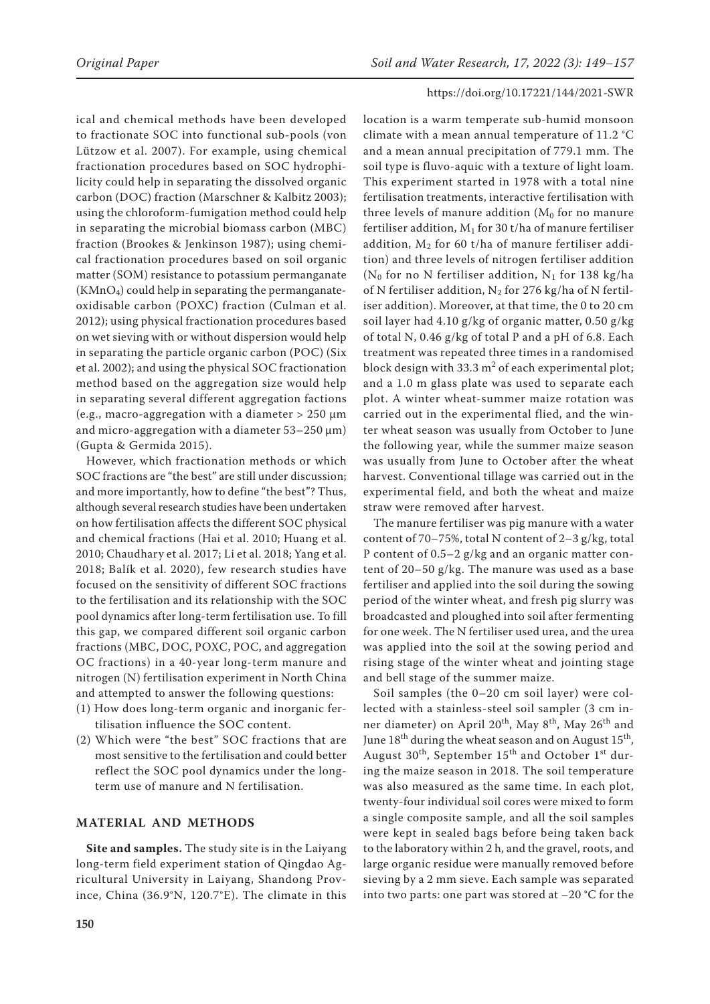ical and chemical methods have been developed to fractionate SOC into functional sub-pools (von Lützow et al. 2007). For example, using chemical fractionation procedures based on SOC hydrophilicity could help in separating the dissolved organic carbon (DOC) fraction (Marschner & Kalbitz 2003); using the chloroform-fumigation method could help in separating the microbial biomass carbon (MBC) fraction (Brookes & Jenkinson 1987); using chemical fractionation procedures based on soil organic matter (SOM) resistance to potassium permanganate  $(KMnO<sub>4</sub>)$  could help in separating the permanganateoxidisable carbon (POXC) fraction (Culman et al. 2012); using physical fractionation procedures based on wet sieving with or without dispersion would help in separating the particle organic carbon (POC) (Six et al. 2002); and using the physical SOC fractionation method based on the aggregation size would help in separating several different aggregation factions (e.g., macro-aggregation with a diameter  $> 250 \mu m$ and micro-aggregation with a diameter 53–250 μm) (Gupta & Germida 2015).

However, which fractionation methods or which SOC fractions are "the best" are still under discussion; and more importantly, how to define "the best"? Thus, although several research studies have been undertaken on how fertilisation affects the different SOC physical and chemical fractions (Hai et al. 2010; Huang et al. 2010; Chaudhary et al. 2017; Li et al. 2018; Yang et al. 2018; Balík et al. 2020), few research studies have focused on the sensitivity of different SOC fractions to the fertilisation and its relationship with the SOC pool dynamics after long-term fertilisation use. To fill this gap, we compared different soil organic carbon fractions (MBC, DOC, POXC, POC, and aggregation OC fractions) in a 40-year long-term manure and nitrogen (N) fertilisation experiment in North China and attempted to answer the following questions:

- (1) How does long-term organic and inorganic fertilisation influence the SOC content.
- (2) Which were "the best" SOC fractions that are most sensitive to the fertilisation and could better reflect the SOC pool dynamics under the longterm use of manure and N fertilisation.

#### **MATERIAL AND METHODS**

**Site and samples.** The study site is in the Laiyang long-term field experiment station of Qingdao Agricultural University in Laiyang, Shandong Province, China (36.9°N, 120.7°E). The climate in this location is a warm temperate sub-humid monsoon climate with a mean annual temperature of 11.2 °C and a mean annual precipitation of 779.1 mm. The soil type is fluvo-aquic with a texture of light loam. This experiment started in 1978 with a total nine fertilisation treatments, interactive fertilisation with three levels of manure addition  $(M<sub>0</sub>$  for no manure fertiliser addition,  $M_1$  for 30 t/ha of manure fertiliser addition,  $M_2$  for 60 t/ha of manure fertiliser addition) and three levels of nitrogen fertiliser addition ( $N_0$  for no N fertiliser addition,  $N_1$  for 138 kg/ha of N fertiliser addition,  $N_2$  for 276 kg/ha of N fertiliser addition). Moreover, at that time, the 0 to 20 cm soil layer had 4.10 g/kg of organic matter, 0.50 g/kg of total N, 0.46 g/kg of total P and a pH of 6.8. Each treatment was repeated three times in a randomised block design with 33.3  $m^2$  of each experimental plot; and a 1.0 m glass plate was used to separate each plot. A winter wheat-summer maize rotation was carried out in the experimental flied, and the winter wheat season was usually from October to June the following year, while the summer maize season was usually from June to October after the wheat harvest. Conventional tillage was carried out in the experimental field, and both the wheat and maize straw were removed after harvest.

The manure fertiliser was pig manure with a water content of 70–75%, total N content of 2–3 g/kg, total P content of 0.5–2 g/kg and an organic matter content of 20–50 g/kg. The manure was used as a base fertiliser and applied into the soil during the sowing period of the winter wheat, and fresh pig slurry was broadcasted and ploughed into soil after fermenting for one week. The N fertiliser used urea, and the urea was applied into the soil at the sowing period and rising stage of the winter wheat and jointing stage and bell stage of the summer maize.

Soil samples (the 0–20 cm soil layer) were collected with a stainless-steel soil sampler (3 cm inner diameter) on April 20<sup>th</sup>, May 8<sup>th</sup>, May 26<sup>th</sup> and June  $18<sup>th</sup>$  during the wheat season and on August  $15<sup>th</sup>$ , August  $30^{th}$ , September  $15^{th}$  and October  $1^{st}$  during the maize season in 2018. The soil temperature was also measured as the same time. In each plot, twenty-four individual soil cores were mixed to form a single composite sample, and all the soil samples were kept in sealed bags before being taken back to the laboratory within 2 h, and the gravel, roots, and large organic residue were manually removed before sieving by a 2 mm sieve. Each sample was separated into two parts: one part was stored at –20 °C for the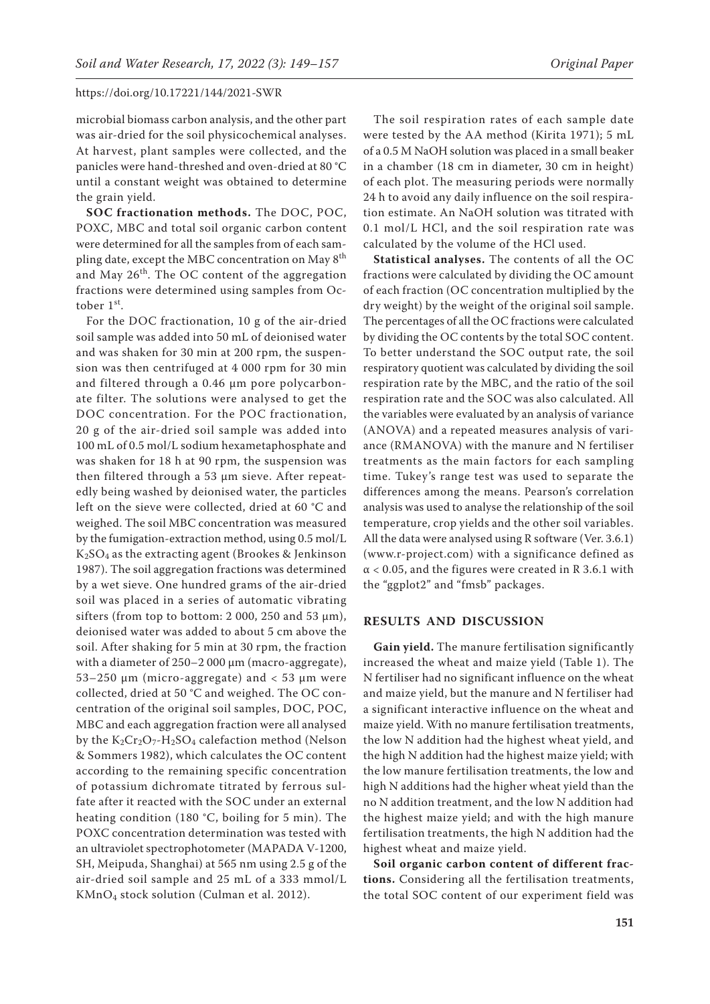microbial biomass carbon analysis, and the other part was air-dried for the soil physicochemical analyses. At harvest, plant samples were collected, and the panicles were hand-threshed and oven-dried at 80 °C until a constant weight was obtained to determine the grain yield.

**SOC fractionation methods.** The DOC, POC, POXC, MBC and total soil organic carbon content were determined for all the samples from of each sampling date, except the MBC concentration on May 8<sup>th</sup> and May  $26^{th}$ . The OC content of the aggregation fractions were determined using samples from October 1st.

For the DOC fractionation, 10 g of the air-dried soil sample was added into 50 mL of deionised water and was shaken for 30 min at 200 rpm, the suspension was then centrifuged at 4 000 rpm for 30 min and filtered through a 0.46 μm pore polycarbonate filter. The solutions were analysed to get the DOC concentration. For the POC fractionation, 20 g of the air-dried soil sample was added into 100 mL of 0.5 mol/L sodium hexametaphosphate and was shaken for 18 h at 90 rpm, the suspension was then filtered through a 53 μm sieve. After repeatedly being washed by deionised water, the particles left on the sieve were collected, dried at 60 °C and weighed. The soil MBC concentration was measured by the fumigation-extraction method, using 0.5 mol/L K2SO4 as the extracting agent (Brookes & Jenkinson 1987). The soil aggregation fractions was determined by a wet sieve. One hundred grams of the air-dried soil was placed in a series of automatic vibrating sifters (from top to bottom: 2 000, 250 and 53 μm), deionised water was added to about 5 cm above the soil. After shaking for 5 min at 30 rpm, the fraction with a diameter of 250–2 000 μm (macro-aggregate), 53–250 μm (micro-aggregate) and < 53 μm were collected, dried at 50 °C and weighed. The OC concentration of the original soil samples, DOC, POC, MBC and each aggregation fraction were all analysed by the  $K_2Cr_2O_7$ -H<sub>2</sub>SO<sub>4</sub> calefaction method (Nelson & Sommers 1982), which calculates the OC content according to the remaining specific concentration of potassium dichromate titrated by ferrous sulfate after it reacted with the SOC under an external heating condition (180 °C, boiling for 5 min). The POXC concentration determination was tested with an ultraviolet spectrophotometer (MAPADA V-1200, SH, Meipuda, Shanghai) at 565 nm using 2.5 g of the air-dried soil sample and 25 mL of a 333 mmol/L KMnO4 stock solution (Culman et al. 2012).

The soil respiration rates of each sample date were tested by the AA method (Kirita 1971); 5 mL of a 0.5 M NaOH solution was placed in a small beaker in a chamber (18 cm in diameter, 30 cm in height) of each plot. The measuring periods were normally 24 h to avoid any daily influence on the soil respiration estimate. An NaOH solution was titrated with 0.1 mol/L HCl, and the soil respiration rate was calculated by the volume of the HCl used.

**Statistical analyses.** The contents of all the OC fractions were calculated by dividing the OC amount of each fraction (OC concentration multiplied by the dry weight) by the weight of the original soil sample. The percentages of all the OC fractions were calculated by dividing the OC contents by the total SOC content. To better understand the SOC output rate, the soil respiratory quotient was calculated by dividing the soil respiration rate by the MBC, and the ratio of the soil respiration rate and the SOC was also calculated. All the variables were evaluated by an analysis of variance (ANOVA) and a repeated measures analysis of variance (RMANOVA) with the manure and N fertiliser treatments as the main factors for each sampling time. Tukey's range test was used to separate the differences among the means. Pearson's correlation analysis was used to analyse the relationship of the soil temperature, crop yields and the other soil variables. All the data were analysed using R software (Ver. 3.6.1) (www.r-project.com) with a significance defined as  $\alpha$  < 0.05, and the figures were created in R 3.6.1 with the "ggplot2" and "fmsb" packages.

# **RESULTS AND DISCUSSION**

**Gain yield.** The manure fertilisation significantly increased the wheat and maize yield (Table 1). The N fertiliser had no significant influence on the wheat and maize yield, but the manure and N fertiliser had a significant interactive influence on the wheat and maize yield. With no manure fertilisation treatments, the low N addition had the highest wheat yield, and the high N addition had the highest maize yield; with the low manure fertilisation treatments, the low and high N additions had the higher wheat yield than the no N addition treatment, and the low N addition had the highest maize yield; and with the high manure fertilisation treatments, the high N addition had the highest wheat and maize yield.

**Soil organic carbon content of different fractions.** Considering all the fertilisation treatments, the total SOC content of our experiment field was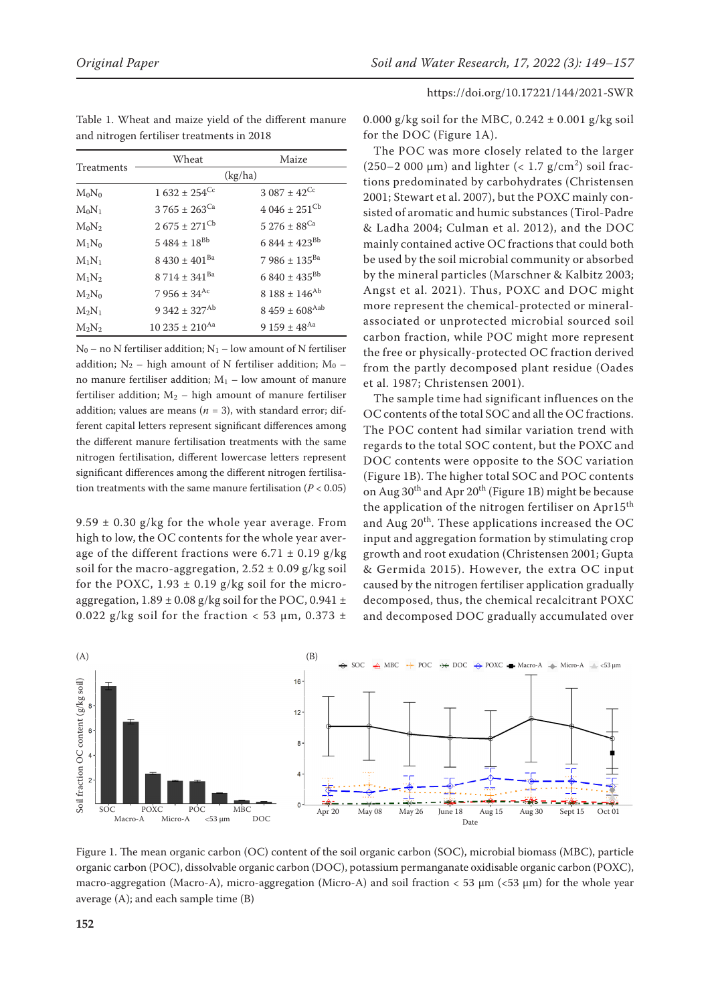| <b>Treatments</b> | Wheat                        | Maize                         |
|-------------------|------------------------------|-------------------------------|
|                   | (kg/ha)                      |                               |
| $M_0N_0$          | $1632 \pm 254$ <sup>Cc</sup> | $3.087 \pm 42$ <sup>Cc</sup>  |
| $M_0N_1$          | $3765 \pm 263$ <sup>Ca</sup> | $4.046 \pm 251$ <sup>Cb</sup> |
| $M_0N_2$          | $2675 \pm 271$ <sup>Cb</sup> | $5276 \pm 88^{Ca}$            |
| $M_1N_0$          | $5484 \pm 18^{Bb}$           | $6844 \pm 423^{Bb}$           |
| $M_1N_1$          | $8430 \pm 401$ <sup>Ba</sup> | $7986 \pm 135^{Ba}$           |
| $M_1N_2$          | $8714 \pm 341$ <sup>Ba</sup> | $6840 \pm 435^{Bb}$           |
| $M_2N_0$          | $7956 \pm 34$ <sup>Ac</sup>  | $8188 \pm 146^{Ab}$           |
| $M_2N_1$          | $9342 \pm 327^{Ab}$          | $8459 \pm 608$ <sup>Aab</sup> |
| $M_2N_2$          | $10\,235 \pm 210^{Aa}$       | 9 159 ± 48 <sup>Aa</sup>      |

Table 1. Wheat and maize yield of the different manure and nitrogen fertiliser treatments in 2018

 $N_0$  – no N fertiliser addition;  $N_1$  – low amount of N fertiliser addition;  $N_2$  – high amount of N fertiliser addition;  $M_0$  – no manure fertiliser addition;  $M_1$  – low amount of manure fertiliser addition;  $M_2$  – high amount of manure fertiliser addition; values are means ( $n = 3$ ), with standard error; different capital letters represent significant differences among the different manure fertilisation treatments with the same nitrogen fertilisation, different lowercase letters represent significant differences among the different nitrogen fertilisation treatments with the same manure fertilisation  $(P < 0.05)$ 

9.59  $\pm$  0.30 g/kg for the whole year average. From high to low, the OC contents for the whole year average of the different fractions were  $6.71 \pm 0.19$  g/kg soil for the macro-aggregation,  $2.52 \pm 0.09$  g/kg soil for the POXC,  $1.93 \pm 0.19$  g/kg soil for the microaggregation,  $1.89 \pm 0.08$  g/kg soil for the POC, 0.941  $\pm$ 0.022 g/kg soil for the fraction < 53  $\mu$ m, 0.373 ±

0.000 g/kg soil for the MBC,  $0.242 \pm 0.001$  g/kg soil for the DOC (Figure 1A).

https://doi.org/10.17221/144/2021-SWR

The POC was more closely related to the larger (250–2 000  $\mu$ m) and lighter (< 1.7 g/cm<sup>2</sup>) soil fractions predominated by carbohydrates (Christensen 2001; Stewart et al. 2007), but the POXC mainly consisted of aromatic and humic substances (Tirol-Padre & Ladha 2004; Culman et al. 2012), and the DOC mainly contained active OC fractions that could both be used by the soil microbial community or absorbed by the mineral particles (Marschner & Kalbitz 2003; Angst et al. 2021). Thus, POXC and DOC might more represent the chemical-protected or mineralassociated or unprotected microbial sourced soil carbon fraction, while POC might more represent the free or physically-protected OC fraction derived from the partly decomposed plant residue (Oades et al. 1987; Christensen 2001).

The sample time had significant influences on the OC contents of the total SOC and all the OC fractions. The POC content had similar variation trend with regards to the total SOC content, but the POXC and DOC contents were opposite to the SOC variation (Figure 1B). The higher total SOC and POC contents on Aug  $30^{th}$  and Apr  $20^{th}$  (Figure 1B) might be because the application of the nitrogen fertiliser on Apr15<sup>th</sup> and Aug 20<sup>th</sup>. These applications increased the OC input and aggregation formation by stimulating crop growth and root exudation (Christensen 2001; Gupta & Germida 2015). However, the extra OC input caused by the nitrogen fertiliser application gradually decomposed, thus, the chemical recalcitrant POXC and decomposed DOC gradually accumulated over



Figure 1. The mean organic carbon (OC) content of the soil organic carbon (SOC), microbial biomass (MBC), particle organic carbon (POC), dissolvable organic carbon (DOC), potassium permanganate oxidisable organic carbon (POXC), macro-aggregation (Macro-A), micro-aggregation (Micro-A) and soil fraction < 53 μm (<53 μm) for the whole year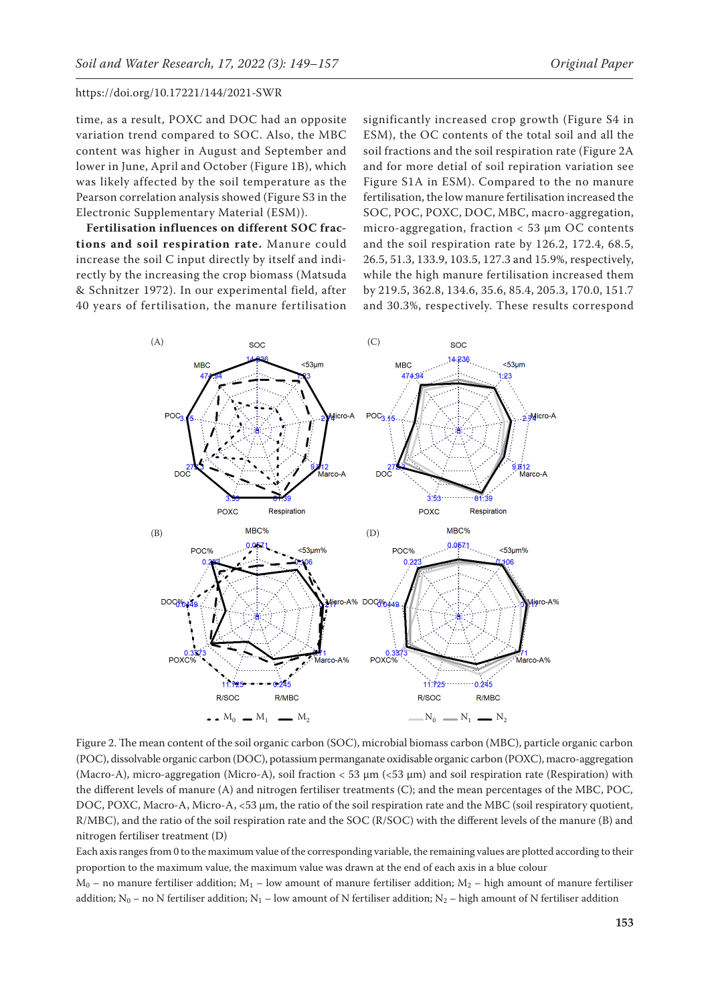time, as a result, POXC and DOC had an opposite variation trend compared to SOC. Also, the MBC content was higher in August and September and lower in June, April and October (Figure 1B), which was likely affected by the soil temperature as the Pearson correlation analysis showed [\(Figure S3](https://www.agriculturejournals.cz/publicFiles/400993.pdf) in the Electronic Supplementary Material (ESM)).

**Fertilisation influences on different SOC fractions and soil respiration rate.** Manure could increase the soil C input directly by itself and indirectly by the increasing the crop biomass (Matsuda & Schnitzer 1972). In our experimental field, after 40 years of fertilisation, the manure fertilisation

significantly increased crop growth ([Figure S4](https://www.agriculturejournals.cz/publicFiles/400993.pdf) in ESM), the OC contents of the total soil and all the soil fractions and the soil respiration rate (Figure 2A and for more detial of soil repiration variation see [Figure S1A](https://www.agriculturejournals.cz/publicFiles/400993.pdf) in ESM). Compared to the no manure fertilisation, the low manure fertilisation increased the SOC, POC, POXC, DOC, MBC, macro-aggregation, micro-aggregation, fraction < 53 μm OC contents and the soil respiration rate by 126.2, 172.4, 68.5, 26.5, 51.3, 133.9, 103.5, 127.3 and 15.9%, respectively, while the high manure fertilisation increased them by 219.5, 362.8, 134.6, 35.6, 85.4, 205.3, 170.0, 151.7 and 30.3%, respectively. These results correspond



Figure 2. The mean content of the soil organic carbon (SOC), microbial biomass carbon (MBC), particle organic carbon (POC), dissolvable organic carbon (DOC), potassium permanganate oxidisable organic carbon (POXC), macro-aggregation (Macro-A), micro-aggregation (Micro-A), soil fraction < 53 μm (<53 μm) and soil respiration rate (Respiration) with the different levels of manure (A) and nitrogen fertiliser treatments (C); and the mean percentages of the MBC, POC, DOC, POXC, Macro-A, Micro-A, <53 μm, the ratio of the soil respiration rate and the MBC (soil respiratory quotient, R/MBC), and the ratio of the soil respiration rate and the SOC (R/SOC) with the different levels of the manure (B) and nitrogen fertiliser treatment (D)

Each axis ranges from 0 to the maximum value of the corresponding variable, the remaining values are plotted according to their proportion to the maximum value, the maximum value was drawn at the end of each axis in a blue colour

 $M_0$  – no manure fertiliser addition;  $M_1$  – low amount of manure fertiliser addition;  $M_2$  – high amount of manure fertiliser addition; N<sub>0</sub> – no N fertiliser addition; N<sub>1</sub> – low amount of N fertiliser addition; N<sub>2</sub> – high amount of N fertiliser addition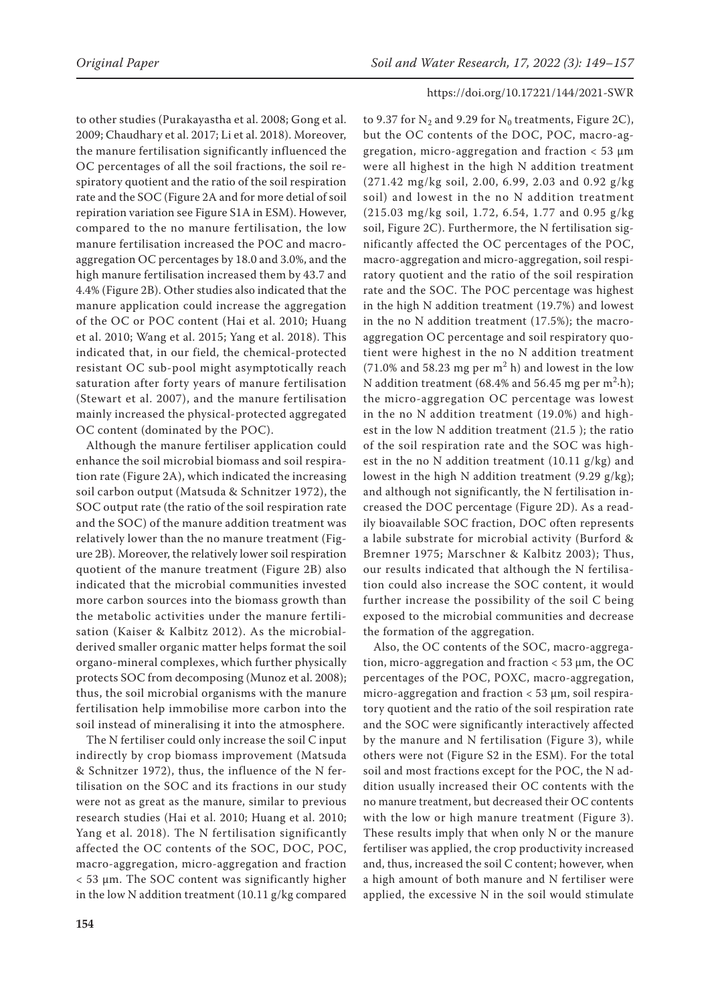to other studies (Purakayastha et al. 2008; Gong et al. 2009; Chaudhary et al. 2017; Li et al. 2018). Moreover, the manure fertilisation significantly influenced the OC percentages of all the soil fractions, the soil respiratory quotient and the ratio of the soil respiration rate and the SOC (Figure 2A and for more detial of soil repiration variation see [Figure S1A](https://www.agriculturejournals.cz/publicFiles/400993.pdf) in ESM). However, compared to the no manure fertilisation, the low manure fertilisation increased the POC and macroaggregation OC percentages by 18.0 and 3.0%, and the high manure fertilisation increased them by 43.7 and 4.4% (Figure 2B). Other studies also indicated that the manure application could increase the aggregation of the OC or POC content (Hai et al. 2010; Huang et al. 2010; Wang et al. 2015; Yang et al. 2018). This indicated that, in our field, the chemical-protected resistant OC sub-pool might asymptotically reach saturation after forty years of manure fertilisation (Stewart et al. 2007), and the manure fertilisation mainly increased the physical-protected aggregated OC content (dominated by the POC).

Although the manure fertiliser application could enhance the soil microbial biomass and soil respiration rate (Figure 2A), which indicated the increasing soil carbon output (Matsuda & Schnitzer 1972), the SOC output rate (the ratio of the soil respiration rate and the SOC) of the manure addition treatment was relatively lower than the no manure treatment (Figure 2B). Moreover, the relatively lower soil respiration quotient of the manure treatment (Figure 2B) also indicated that the microbial communities invested more carbon sources into the biomass growth than the metabolic activities under the manure fertilisation (Kaiser & Kalbitz 2012). As the microbialderived smaller organic matter helps format the soil organo-mineral complexes, which further physically protects SOC from decomposing (Munoz et al. 2008); thus, the soil microbial organisms with the manure fertilisation help immobilise more carbon into the soil instead of mineralising it into the atmosphere.

The N fertiliser could only increase the soil C input indirectly by crop biomass improvement (Matsuda & Schnitzer 1972), thus, the influence of the N fertilisation on the SOC and its fractions in our study were not as great as the manure, similar to previous research studies (Hai et al. 2010; Huang et al. 2010; Yang et al. 2018). The N fertilisation significantly affected the OC contents of the SOC, DOC, POC, macro-aggregation, micro-aggregation and fraction < 53 μm. The SOC content was significantly higher in the low N addition treatment (10.11 g/kg compared

to 9.37 for  $N_2$  and 9.29 for  $N_0$  treatments, Figure 2C), but the OC contents of the DOC, POC, macro-aggregation, micro-aggregation and fraction < 53 μm were all highest in the high N addition treatment (271.42 mg/kg soil, 2.00, 6.99, 2.03 and 0.92 g/kg soil) and lowest in the no N addition treatment (215.03 mg/kg soil, 1.72, 6.54, 1.77 and 0.95 g/kg soil, Figure 2C). Furthermore, the N fertilisation significantly affected the OC percentages of the POC, macro-aggregation and micro-aggregation, soil respiratory quotient and the ratio of the soil respiration rate and the SOC. The POC percentage was highest in the high N addition treatment (19.7%) and lowest in the no N addition treatment (17.5%); the macroaggregation OC percentage and soil respiratory quotient were highest in the no N addition treatment  $(71.0\%$  and 58.23 mg per m<sup>2</sup> h) and lowest in the low N addition treatment (68.4% and 56.45 mg per m<sup>2</sup> $\cdot$ h); the micro-aggregation OC percentage was lowest in the no N addition treatment (19.0%) and highest in the low N addition treatment (21.5 ); the ratio of the soil respiration rate and the SOC was highest in the no N addition treatment (10.11 g/kg) and lowest in the high N addition treatment (9.29 g/kg); and although not significantly, the N fertilisation increased the DOC percentage (Figure 2D). As a readily bioavailable SOC fraction, DOC often represents a labile substrate for microbial activity (Burford & Bremner 1975; Marschner & Kalbitz 2003); Thus, our results indicated that although the N fertilisation could also increase the SOC content, it would further increase the possibility of the soil C being exposed to the microbial communities and decrease the formation of the aggregation.

Also, the OC contents of the SOC, macro-aggregation, micro-aggregation and fraction < 53 μm, the OC percentages of the POC, POXC, macro-aggregation, micro-aggregation and fraction < 53 μm, soil respiratory quotient and the ratio of the soil respiration rate and the SOC were significantly interactively affected by the manure and N fertilisation (Figure 3), while others were not [\(Figure S2](https://www.agriculturejournals.cz/publicFiles/400993.pdf) in the ESM). For the total soil and most fractions except for the POC, the N addition usually increased their OC contents with the no manure treatment, but decreased their OC contents with the low or high manure treatment (Figure 3). These results imply that when only N or the manure fertiliser was applied, the crop productivity increased and, thus, increased the soil C content; however, when a high amount of both manure and N fertiliser were applied, the excessive N in the soil would stimulate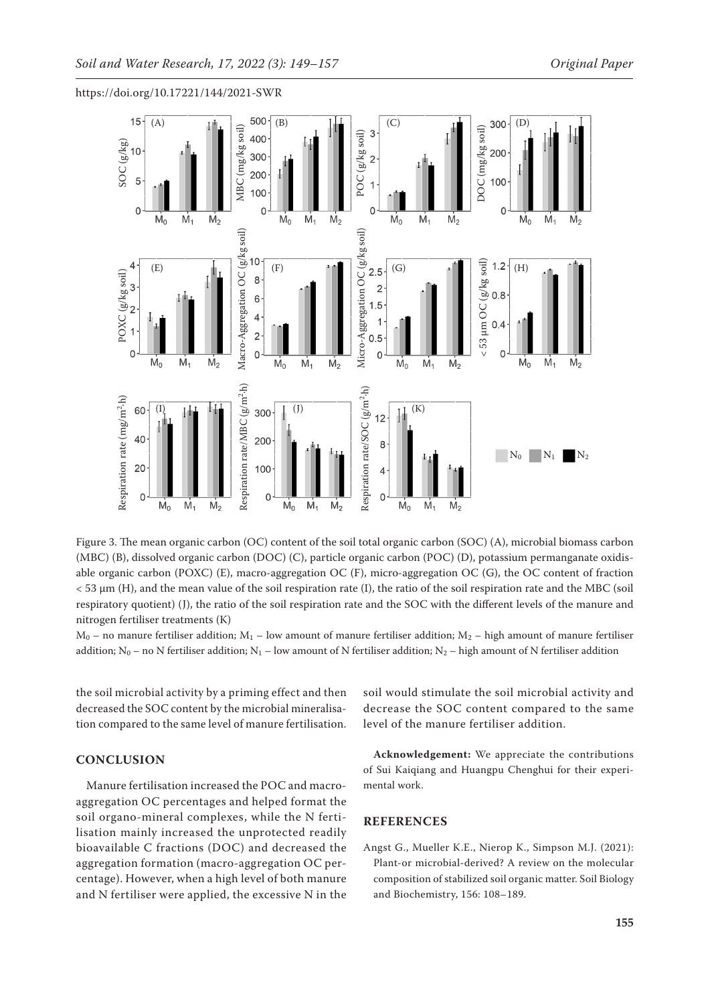

Figure 3. The mean organic carbon (OC) content of the soil total organic carbon (SOC) (A), microbial biomass carbon (MBC) (B), dissolved organic carbon (DOC) (C), particle organic carbon (POC) (D), potassium permanganate oxidisable organic carbon (POXC) (E), macro-aggregation OC (F), micro-aggregation OC (G), the OC content of fraction < 53 μm (H), and the mean value of the soil respiration rate (I), the ratio of the soil respiration rate and the MBC (soil respiratory quotient) (J), the ratio of the soil respiration rate and the SOC with the different levels of the manure and nitrogen fertiliser treatments (K)

 $M_0$  – no manure fertiliser addition;  $M_1$  – low amount of manure fertiliser addition;  $M_2$  – high amount of manure fertiliser

the soil microbial activity by a priming effect and then decreased the SOC content by the microbial mineralisation compared to the same level of manure fertilisation.

# **CONCLUSION**

Manure fertilisation increased the POC and macroaggregation OC percentages and helped format the soil organo-mineral complexes, while the N fertilisation mainly increased the unprotected readily bioavailable C fractions (DOC) and decreased the aggregation formation (macro-aggregation OC percentage). However, when a high level of both manure and N fertiliser were applied, the excessive N in the soil would stimulate the soil microbial activity and decrease the SOC content compared to the same level of the manure fertiliser addition.

**Acknowledgement:** We appreciate the contributions of Sui Kaiqiang and Huangpu Chenghui for their experimental work.

# **REFERENCES**

Angst G., Mueller K.E., Nierop K., Simpson M.J. (2021): Plant-or microbial-derived? A review on the molecular composition of stabilized soil organic matter. Soil Biology and Biochemistry, 156: 108–189.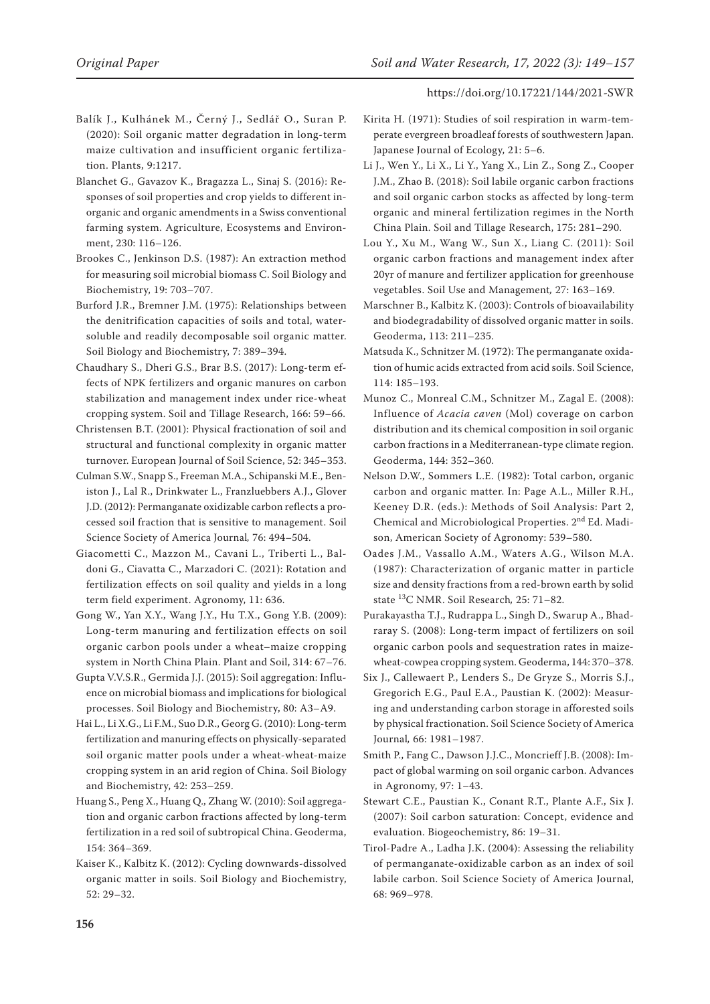- Balík J., Kulhánek M., Černý J., Sedlář O., Suran P. (2020): Soil organic matter degradation in long-term maize cultivation and insufficient organic fertilization. Plants, 9:1217.
- Blanchet G., Gavazov K., Bragazza L., Sinaj S. (2016): Responses of soil properties and crop yields to different inorganic and organic amendments in a Swiss conventional farming system. Agriculture, Ecosystems and Environment, 230: 116–126.
- Brookes C., Jenkinson D.S. (1987): An extraction method for measuring soil microbial biomass C. Soil Biology and Biochemistry, 19: 703–707.
- Burford J.R., Bremner J.M. (1975): Relationships between the denitrification capacities of soils and total, watersoluble and readily decomposable soil organic matter. Soil Biology and Biochemistry, 7: 389–394.
- Chaudhary S., Dheri G.S., Brar B.S. (2017): Long-term effects of NPK fertilizers and organic manures on carbon stabilization and management index under rice-wheat cropping system. Soil and Tillage Research, 166: 59–66.
- Christensen B.T. (2001): Physical fractionation of soil and structural and functional complexity in organic matter turnover. European Journal of Soil Science, 52: 345–353.
- Culman S.W., Snapp S., Freeman M.A., Schipanski M.E., Beniston J., Lal R., Drinkwater L., Franzluebbers A.J., Glover J.D. (2012): Permanganate oxidizable carbon reflects a processed soil fraction that is sensitive to management. Soil Science Society of America Journal*,* 76: 494–504.
- Giacometti C., Mazzon M., Cavani L., Triberti L., Baldoni G., Ciavatta C., Marzadori C. (2021): Rotation and fertilization effects on soil quality and yields in a long term field experiment. Agronomy, 11: 636.
- Gong W., Yan X.Y., Wang J.Y., Hu T.X., Gong Y.B. (2009): Long-term manuring and fertilization effects on soil organic carbon pools under a wheat–maize cropping system in North China Plain. Plant and Soil, 314: 67–76.
- Gupta V.V.S.R., Germida J.J. (2015): Soil aggregation: Influence on microbial biomass and implications for biological processes. Soil Biology and Biochemistry, 80: A3–A9.
- Hai L., Li X.G., Li F.M., Suo D.R., Georg G. (2010): Long-term fertilization and manuring effects on physically-separated soil organic matter pools under a wheat-wheat-maize cropping system in an arid region of China. Soil Biology and Biochemistry, 42: 253–259.
- Huang S., Peng X., Huang Q., Zhang W. (2010): Soil aggregation and organic carbon fractions affected by long-term fertilization in a red soil of subtropical China. Geoderma, 154: 364–369.
- Kaiser K., Kalbitz K. (2012): Cycling downwards-dissolved organic matter in soils. Soil Biology and Biochemistry, 52: 29–32.
- Kirita H. (1971): Studies of soil respiration in warm-temperate evergreen broadleaf forests of southwestern Japan. Japanese Journal of Ecology, 21: 5–6.
- Li J., Wen Y., Li X., Li Y., Yang X., Lin Z., Song Z., Cooper J.M., Zhao B. (2018): Soil labile organic carbon fractions and soil organic carbon stocks as affected by long-term organic and mineral fertilization regimes in the North China Plain. Soil and Tillage Research, 175: 281–290.
- Lou Y., Xu M., Wang W., Sun X., Liang C. (2011): Soil organic carbon fractions and management index after 20yr of manure and fertilizer application for greenhouse vegetables. Soil Use and Management*,* 27: 163–169.
- Marschner B., Kalbitz K. (2003): Controls of bioavailability and biodegradability of dissolved organic matter in soils. Geoderma, 113: 211–235.
- Matsuda K., Schnitzer M. (1972): The permanganate oxidation of humic acids extracted from acid soils. Soil Science, 114: 185–193.
- Munoz C., Monreal C.M., Schnitzer M., Zagal E. (2008): Influence of *Acacia caven* (Mol) coverage on carbon distribution and its chemical composition in soil organic carbon fractions in a Mediterranean-type climate region. Geoderma, 144: 352–360.
- Nelson D.W., Sommers L.E. (1982): Total carbon, organic carbon and organic matter. In: Page A.L., Miller R.H., Keeney D.R. (eds.): Methods of Soil Analysis: Part 2, Chemical and Microbiological Properties. 2nd Ed. Madison, American Society of Agronomy: 539–580.
- Oades J.M., Vassallo A.M., Waters A.G., Wilson M.A. (1987): Characterization of organic matter in particle size and density fractions from a red-brown earth by solid state 13C NMR. Soil Research*,* 25: 71–82.
- Purakayastha T.J., Rudrappa L., Singh D., Swarup A., Bhadraray S. (2008): Long-term impact of fertilizers on soil organic carbon pools and sequestration rates in maizewheat-cowpea cropping system. Geoderma, 144: 370–378.
- Six J., Callewaert P., Lenders S., De Gryze S., Morris S.J., Gregorich E.G., Paul E.A., Paustian K. (2002): Measuring and understanding carbon storage in afforested soils by physical fractionation. Soil Science Society of America Journal*,* 66: 1981–1987.
- Smith P., Fang C., Dawson J.J.C., Moncrieff J.B. (2008): Impact of global warming on soil organic carbon. Advances in Agronomy, 97: 1–43.
- Stewart C.E., Paustian K., Conant R.T., Plante A.F., Six J. (2007): Soil carbon saturation: Concept, evidence and evaluation. Biogeochemistry, 86: 19–31.
- Tirol-Padre A., Ladha J.K. (2004): Assessing the reliability of permanganate-oxidizable carbon as an index of soil labile carbon. Soil Science Society of America Journal, 68: 969–978.